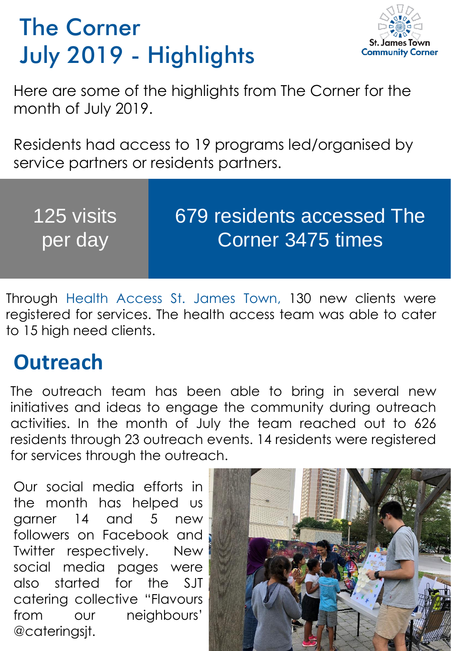## The Corner July 2019 - Highlights



Here are some of the highlights from The Corner for the month of July 2019.

Residents had access to 19 programs led/organised by service partners or residents partners.

| <b>125 visits</b> | 679 residents accessed The |
|-------------------|----------------------------|
| per day           | Corner 3475 times          |
|                   |                            |

Through Health Access St. James Town, 130 new clients were registered for services. The health access team was able to cater to 15 high need clients.

## **Outreach**

The outreach team has been able to bring in several new initiatives and ideas to engage the community during outreach activities. In the month of July the team reached out to 626 residents through 23 outreach events. 14 residents were registered for services through the outreach.

Our social media efforts in the month has helped us garner 14 and 5 new followers on Facebook and Twitter respectively. New social media pages were also started for the SJT catering collective "Flavours from our neighbours' @cateringsjt.